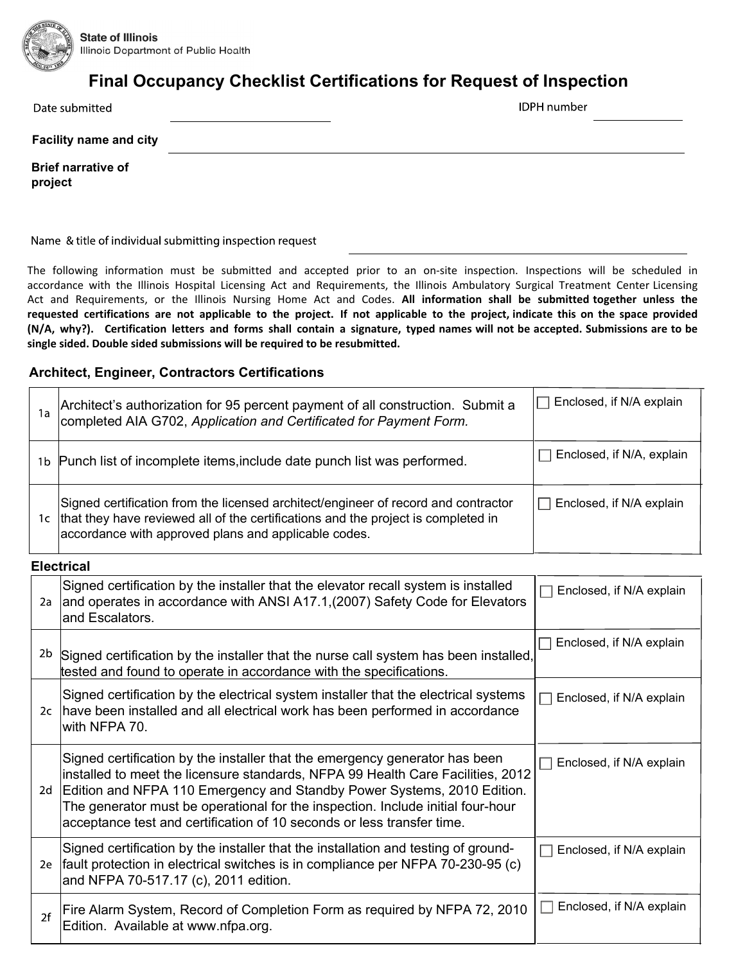

## Final Occupancy Checklist Certifications for Request of Inspection

Date submitted

**IDPH** number

Facility name and city

Brief narrative of project

Name & title of individual submitting inspection request

The following information must be submitted and accepted prior to an on-site inspection. Inspections will be scheduled in accordance with the Illinois Hospital Licensing Act and Requirements, the Illinois Ambulatory Surgical Treatment Center Licensing Act and Requirements, or the Illinois Nursing Home Act and Codes. **All information shall be submitted together unless the requested certifications are not applicable to the project. If not applicable to the project, indicate this on the space provided (N/A, why?). Certification letters and forms shall contain a signature, typed names will not be accepted. Submissions are to be single sided. Double sided submissions will be required to be resubmitted.**

## Architect, Engineer, Contractors Certifications

| 1a | Architect's authorization for 95 percent payment of all construction. Submit a completed AIA G702, Application and Certificated for Payment Form.                                                                               | Enclosed, if N/A explain<br>$\mathbf{I}$ |
|----|---------------------------------------------------------------------------------------------------------------------------------------------------------------------------------------------------------------------------------|------------------------------------------|
| 1b | Punch list of incomplete items, include date punch list was performed.                                                                                                                                                          | Enclosed, if N/A, explain                |
| 1c | Signed certification from the licensed architect/engineer of record and contractor<br>that they have reviewed all of the certifications and the project is completed in<br>accordance with approved plans and applicable codes. | Enclosed, if N/A explain                 |

**Electrical** 

| 2a | Signed certification by the installer that the elevator recall system is installed<br>and operates in accordance with ANSI A17.1, (2007) Safety Code for Elevators<br>and Escalators.                                                                                                                                                                                                                  | Enclosed, if N/A explain      |
|----|--------------------------------------------------------------------------------------------------------------------------------------------------------------------------------------------------------------------------------------------------------------------------------------------------------------------------------------------------------------------------------------------------------|-------------------------------|
|    | <sup>2b</sup> Signed certification by the installer that the nurse call system has been installed,<br>tested and found to operate in accordance with the specifications.                                                                                                                                                                                                                               | Enclosed, if N/A explain      |
|    | Signed certification by the electrical system installer that the electrical systems<br>2c   have been installed and all electrical work has been performed in accordance<br>with NFPA 70.                                                                                                                                                                                                              | Enclosed, if N/A explain      |
| 2d | Signed certification by the installer that the emergency generator has been<br>installed to meet the licensure standards, NFPA 99 Health Care Facilities, 2012<br>Edition and NFPA 110 Emergency and Standby Power Systems, 2010 Edition.<br>The generator must be operational for the inspection. Include initial four-hour<br>acceptance test and certification of 10 seconds or less transfer time. | Enclosed, if N/A explain      |
|    | Signed certification by the installer that the installation and testing of ground-<br>2e $\vert$ fault protection in electrical switches is in compliance per NFPA 70-230-95 (c)<br>and NFPA 70-517.17 (c), 2011 edition.                                                                                                                                                                              | Enclosed, if N/A explain      |
| 2f | Fire Alarm System, Record of Completion Form as required by NFPA 72, 2010<br>Edition. Available at www.nfpa.org.                                                                                                                                                                                                                                                                                       | Enclosed, if N/A explain<br>H |